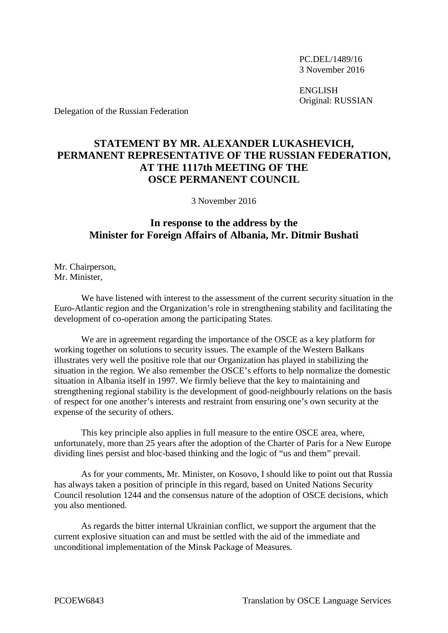PC.DEL/1489/16 3 November 2016

ENGLISH Original: RUSSIAN

Delegation of the Russian Federation

## **STATEMENT BY MR. ALEXANDER LUKASHEVICH, PERMANENT REPRESENTATIVE OF THE RUSSIAN FEDERATION, AT THE 1117th MEETING OF THE OSCE PERMANENT COUNCIL**

3 November 2016

## **In response to the address by the Minister for Foreign Affairs of Albania, Mr. Ditmir Bushati**

Mr. Chairperson, Mr. Minister,

We have listened with interest to the assessment of the current security situation in the Euro-Atlantic region and the Organization's role in strengthening stability and facilitating the development of co-operation among the participating States.

We are in agreement regarding the importance of the OSCE as a key platform for working together on solutions to security issues. The example of the Western Balkans illustrates very well the positive role that our Organization has played in stabilizing the situation in the region. We also remember the OSCE's efforts to help normalize the domestic situation in Albania itself in 1997. We firmly believe that the key to maintaining and strengthening regional stability is the development of good-neighbourly relations on the basis of respect for one another's interests and restraint from ensuring one's own security at the expense of the security of others.

This key principle also applies in full measure to the entire OSCE area, where, unfortunately, more than 25 years after the adoption of the Charter of Paris for a New Europe dividing lines persist and bloc-based thinking and the logic of "us and them" prevail.

As for your comments, Mr. Minister, on Kosovo, I should like to point out that Russia has always taken a position of principle in this regard, based on United Nations Security Council resolution 1244 and the consensus nature of the adoption of OSCE decisions, which you also mentioned.

As regards the bitter internal Ukrainian conflict, we support the argument that the current explosive situation can and must be settled with the aid of the immediate and unconditional implementation of the Minsk Package of Measures.